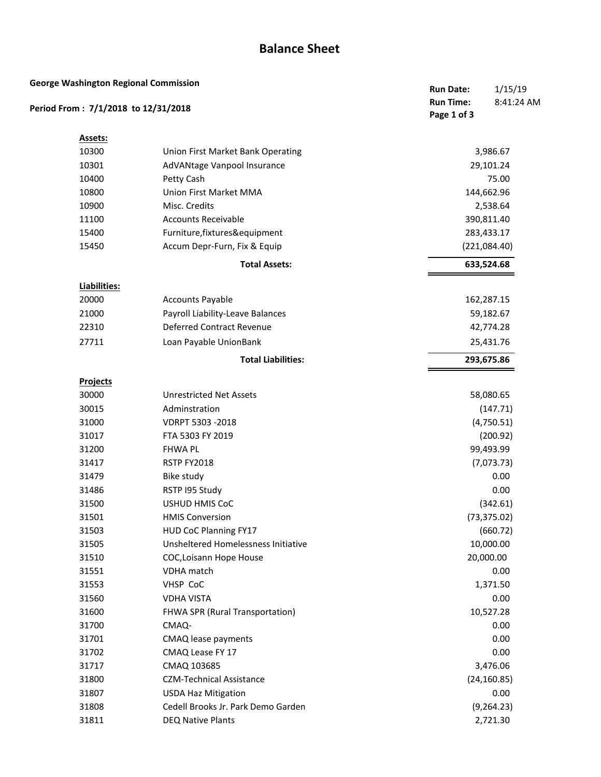## **Balance Sheet**

| <b>George Washington Regional Commission</b><br>Period From: 7/1/2018 to 12/31/2018 |                                     | 1/15/19<br><b>Run Date:</b><br>8:41:24 AM<br><b>Run Time:</b><br>Page 1 of 3 |  |
|-------------------------------------------------------------------------------------|-------------------------------------|------------------------------------------------------------------------------|--|
|                                                                                     |                                     |                                                                              |  |
| Assets:                                                                             |                                     |                                                                              |  |
| 10300                                                                               | Union First Market Bank Operating   | 3,986.67                                                                     |  |
| 10301                                                                               | AdVANtage Vanpool Insurance         | 29,101.24                                                                    |  |
| 10400                                                                               | Petty Cash                          | 75.00                                                                        |  |
| 10800                                                                               | Union First Market MMA              | 144,662.96                                                                   |  |
| 10900                                                                               | Misc. Credits                       | 2,538.64                                                                     |  |
| 11100                                                                               | <b>Accounts Receivable</b>          | 390,811.40                                                                   |  |
| 15400                                                                               | Furniture, fixtures&equipment       | 283,433.17                                                                   |  |
| 15450                                                                               | Accum Depr-Furn, Fix & Equip        | (221,084.40)                                                                 |  |
|                                                                                     | <b>Total Assets:</b>                | 633,524.68                                                                   |  |
| Liabilities:                                                                        |                                     |                                                                              |  |
| 20000                                                                               | <b>Accounts Payable</b>             | 162,287.15                                                                   |  |
| 21000                                                                               | Payroll Liability-Leave Balances    | 59,182.67                                                                    |  |
| 22310                                                                               | <b>Deferred Contract Revenue</b>    | 42,774.28                                                                    |  |
| 27711                                                                               | Loan Payable UnionBank              | 25,431.76                                                                    |  |
|                                                                                     | <b>Total Liabilities:</b>           | 293,675.86                                                                   |  |
| <b>Projects</b>                                                                     |                                     |                                                                              |  |
| 30000                                                                               | <b>Unrestricted Net Assets</b>      | 58,080.65                                                                    |  |
| 30015                                                                               | Adminstration                       | (147.71)                                                                     |  |
| 31000                                                                               | VDRPT 5303 -2018                    | (4,750.51)                                                                   |  |
| 31017                                                                               | FTA 5303 FY 2019                    | (200.92)                                                                     |  |
| 31200                                                                               | <b>FHWA PL</b>                      | 99,493.99                                                                    |  |
| 31417                                                                               | RSTP FY2018                         | (7,073.73)                                                                   |  |
| 31479                                                                               | <b>Bike study</b>                   | 0.00                                                                         |  |
| 31486                                                                               | RSTP I95 Study                      | 0.00                                                                         |  |
| 31500                                                                               | <b>USHUD HMIS CoC</b>               | (342.61)                                                                     |  |
| 31501                                                                               | <b>HMIS Conversion</b>              | (73, 375.02)                                                                 |  |
| 31503                                                                               | HUD CoC Planning FY17               | (660.72)                                                                     |  |
| 31505                                                                               | Unsheltered Homelessness Initiative | 10,000.00                                                                    |  |
| 31510                                                                               | COC, Loisann Hope House             | 20,000.00                                                                    |  |
| 31551                                                                               | <b>VDHA</b> match                   | 0.00                                                                         |  |
| 31553                                                                               | VHSP CoC                            | 1,371.50                                                                     |  |
| 31560                                                                               | <b>VDHA VISTA</b>                   | 0.00                                                                         |  |
| 31600                                                                               | FHWA SPR (Rural Transportation)     | 10,527.28                                                                    |  |
| 31700                                                                               | CMAQ-                               | 0.00                                                                         |  |
| 31701                                                                               | CMAQ lease payments                 | 0.00                                                                         |  |
| 31702                                                                               | CMAQ Lease FY 17                    | 0.00                                                                         |  |
| 31717                                                                               | CMAQ 103685                         | 3,476.06                                                                     |  |
| 31800                                                                               | <b>CZM-Technical Assistance</b>     | (24, 160.85)                                                                 |  |
| 31807                                                                               | <b>USDA Haz Mitigation</b>          | 0.00                                                                         |  |
| 31808                                                                               | Cedell Brooks Jr. Park Demo Garden  | (9, 264.23)                                                                  |  |
| 31811                                                                               | <b>DEQ Native Plants</b>            | 2,721.30                                                                     |  |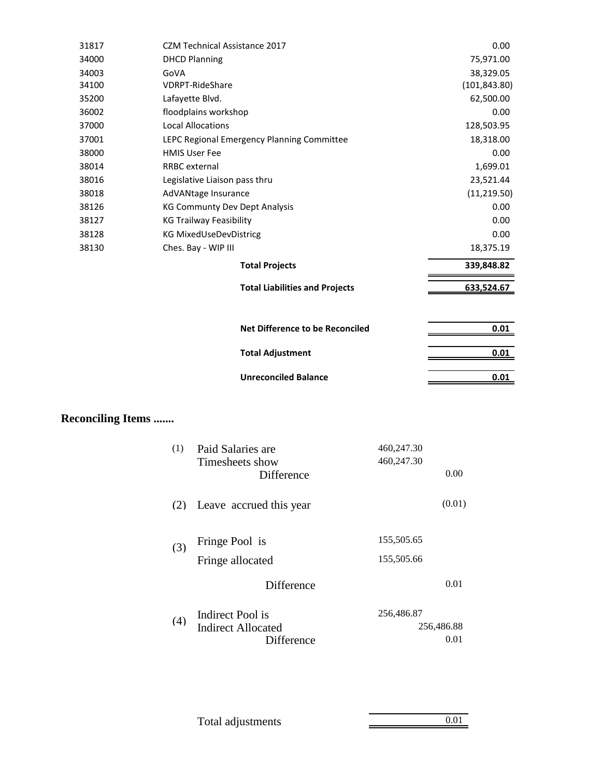| 31817 | <b>CZM Technical Assistance 2017</b>       | 0.00          |
|-------|--------------------------------------------|---------------|
| 34000 | <b>DHCD Planning</b>                       | 75,971.00     |
| 34003 | GoVA                                       | 38,329.05     |
| 34100 | <b>VDRPT-RideShare</b>                     | (101, 843.80) |
| 35200 | Lafayette Blvd.                            | 62,500.00     |
| 36002 | floodplains workshop                       | 0.00          |
| 37000 | <b>Local Allocations</b>                   | 128,503.95    |
| 37001 | LEPC Regional Emergency Planning Committee | 18,318.00     |
| 38000 | <b>HMIS User Fee</b>                       | 0.00          |
| 38014 | <b>RRBC</b> external                       | 1,699.01      |
| 38016 | Legislative Liaison pass thru              | 23,521.44     |
| 38018 | AdVANtage Insurance                        | (11, 219.50)  |
| 38126 | <b>KG Communty Dev Dept Analysis</b>       | 0.00          |
| 38127 | <b>KG Trailway Feasibility</b>             | 0.00          |
| 38128 | <b>KG MixedUseDevDistricg</b>              | 0.00          |
| 38130 | Ches. Bay - WIP III                        | 18,375.19     |
|       | <b>Total Projects</b>                      | 339,848.82    |
|       | <b>Total Liabilities and Projects</b>      | 633,524.67    |
|       |                                            |               |
|       | <b>Net Difference to be Reconciled</b>     | 0.01          |
|       | <b>Total Adjustment</b>                    | 0.01          |
|       | <b>Unreconciled Balance</b>                | 0.01          |
|       |                                            |               |

## **Reconciling Items .......**

| (1) | Paid Salaries are<br>Timesheets show | 460,247.30<br>460,247.30 |  |
|-----|--------------------------------------|--------------------------|--|
|     | Difference                           | 0.00                     |  |
| (2) | Leave accrued this year              | (0.01)                   |  |
| (3) | Fringe Pool is                       | 155,505.65               |  |
|     | Fringe allocated                     | 155,505.66               |  |
|     | <b>Difference</b>                    | 0.01                     |  |
| (4) | <b>Indirect Pool is</b>              | 256,486.87               |  |
|     | Indirect Allocated                   | 256,486.88               |  |
|     | Difference                           | 0.01                     |  |